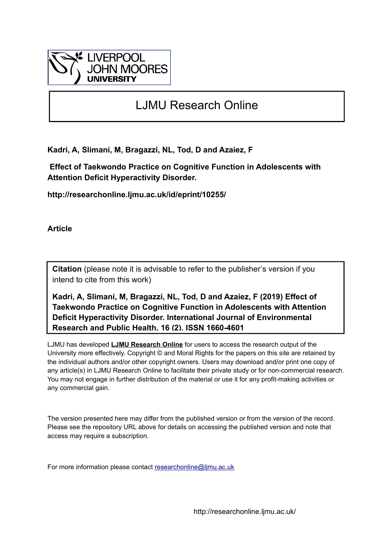

# LJMU Research Online

**Kadri, A, Slimani, M, Bragazzi, NL, Tod, D and Azaiez, F**

 **Effect of Taekwondo Practice on Cognitive Function in Adolescents with Attention Deficit Hyperactivity Disorder.**

**http://researchonline.ljmu.ac.uk/id/eprint/10255/**

**Article**

**Citation** (please note it is advisable to refer to the publisher's version if you intend to cite from this work)

**Kadri, A, Slimani, M, Bragazzi, NL, Tod, D and Azaiez, F (2019) Effect of Taekwondo Practice on Cognitive Function in Adolescents with Attention Deficit Hyperactivity Disorder. International Journal of Environmental Research and Public Health, 16 (2). ISSN 1660-4601** 

LJMU has developed **[LJMU Research Online](http://researchonline.ljmu.ac.uk/)** for users to access the research output of the University more effectively. Copyright © and Moral Rights for the papers on this site are retained by the individual authors and/or other copyright owners. Users may download and/or print one copy of any article(s) in LJMU Research Online to facilitate their private study or for non-commercial research. You may not engage in further distribution of the material or use it for any profit-making activities or any commercial gain.

The version presented here may differ from the published version or from the version of the record. Please see the repository URL above for details on accessing the published version and note that access may require a subscription.

For more information please contact [researchonline@ljmu.ac.uk](mailto:researchonline@ljmu.ac.uk)

http://researchonline.ljmu.ac.uk/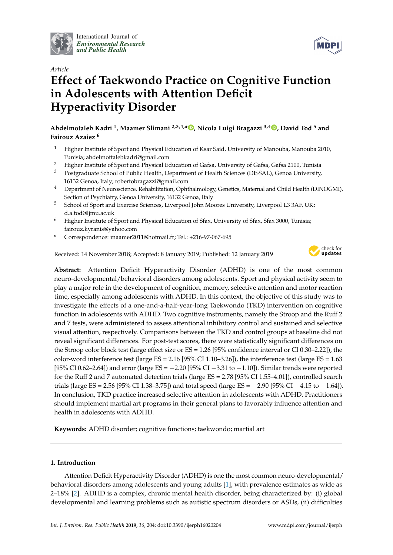

International Journal of *[Environmental Research](http://www.mdpi.com/journal/ijerph) and Public Health*



## *Article* **Effect of Taekwondo Practice on Cognitive Function in Adolescents with Attention Deficit Hyperactivity Disorder**

**Abdelmotaleb Kadri <sup>1</sup> , Maamer Slimani 2,3,4,\* [,](https://orcid.org/0000-0002-4346-1750) Nicola Luigi Bragazzi 3,4 [,](https://orcid.org/0000-0001-8409-868X) David Tod <sup>5</sup> and Fairouz Azaiez <sup>6</sup>**

- <sup>1</sup> Higher Institute of Sport and Physical Education of Ksar Said, University of Manouba, Manouba 2010, Tunisia; abdelmottalebkadri@gmail.com
- <sup>2</sup> Higher Institute of Sport and Physical Education of Gafsa, University of Gafsa, Gafsa 2100, Tunisia
- <sup>3</sup> Postgraduate School of Public Health, Department of Health Sciences (DISSAL), Genoa University, 16132 Genoa, Italy; robertobragazzi@gmail.com
- <sup>4</sup> Department of Neuroscience, Rehabilitation, Ophthalmology, Genetics, Maternal and Child Health (DINOGMI), Section of Psychiatry, Genoa University, 16132 Genoa, Italy
- <sup>5</sup> School of Sport and Exercise Sciences, Liverpool John Moores University, Liverpool L3 3AF, UK; d.a.tod@ljmu.ac.uk
- Higher Institute of Sport and Physical Education of Sfax, University of Sfax, Sfax 3000, Tunisia; fairouz.kyranis@yahoo.com
- **\*** Correspondence: maamer2011@hotmail.fr; Tel.: +216-97-067-695

Received: 14 November 2018; Accepted: 8 January 2019; Published: 12 January 2019



**Abstract:** Attention Deficit Hyperactivity Disorder (ADHD) is one of the most common neuro-developmental/behavioral disorders among adolescents. Sport and physical activity seem to play a major role in the development of cognition, memory, selective attention and motor reaction time, especially among adolescents with ADHD. In this context, the objective of this study was to investigate the effects of a one-and-a-half-year-long Taekwondo (TKD) intervention on cognitive function in adolescents with ADHD. Two cognitive instruments, namely the Stroop and the Ruff 2 and 7 tests, were administered to assess attentional inhibitory control and sustained and selective visual attention, respectively. Comparisons between the TKD and control groups at baseline did not reveal significant differences. For post-test scores, there were statistically significant differences on the Stroop color block test (large effect size or ES = 1.26 [95% confidence interval or CI 0.30–2.22]), the color-word interference test (large  $ES = 2.16$  [95% CI 1.10-3.26]), the interference test (large  $ES = 1.63$ [95% CI 0.62–2.64]) and error (large ES = −2.20 [95% CI −3.31 to −1.10]). Similar trends were reported for the Ruff 2 and 7 automated detection trials (large ES = 2.78 [95% CI 1.55–4.01]), controlled search trials (large ES = 2.56 [95% CI 1.38–3.75]) and total speed (large ES = −2.90 [95% CI −4.15 to −1.64]). In conclusion, TKD practice increased selective attention in adolescents with ADHD. Practitioners should implement martial art programs in their general plans to favorably influence attention and health in adolescents with ADHD.

**Keywords:** ADHD disorder; cognitive functions; taekwondo; martial art

## **1. Introduction**

Attention Deficit Hyperactivity Disorder (ADHD) is one the most common neuro-developmental/ behavioral disorders among adolescents and young adults [\[1\]](#page-8-0), with prevalence estimates as wide as 2–18% [\[2\]](#page-8-1). ADHD is a complex, chronic mental health disorder, being characterized by: (i) global developmental and learning problems such as autistic spectrum disorders or ASDs, (ii) difficulties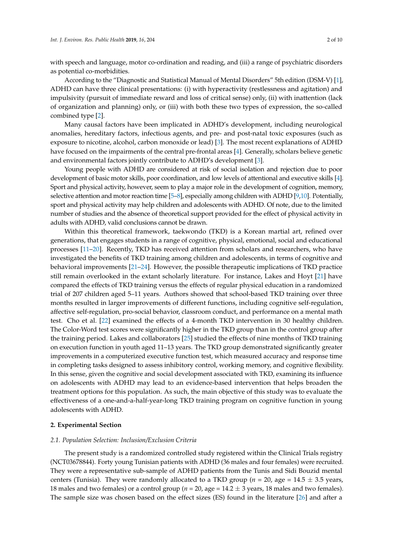with speech and language, motor co-ordination and reading, and (iii) a range of psychiatric disorders as potential co-morbidities.

According to the "Diagnostic and Statistical Manual of Mental Disorders" 5th edition (DSM-V) [\[1\]](#page-8-0), ADHD can have three clinical presentations: (i) with hyperactivity (restlessness and agitation) and impulsivity (pursuit of immediate reward and loss of critical sense) only, (ii) with inattention (lack of organization and planning) only, or (iii) with both these two types of expression, the so-called combined type [\[2\]](#page-8-1).

Many causal factors have been implicated in ADHD's development, including neurological anomalies, hereditary factors, infectious agents, and pre- and post-natal toxic exposures (such as exposure to nicotine, alcohol, carbon monoxide or lead) [\[3\]](#page-8-2). The most recent explanations of ADHD have focused on the impairments of the central pre-frontal areas [\[4\]](#page-8-3). Generally, scholars believe genetic and environmental factors jointly contribute to ADHD's development [\[3\]](#page-8-2).

Young people with ADHD are considered at risk of social isolation and rejection due to poor development of basic motor skills, poor coordination, and low levels of attentional and executive skills [\[4\]](#page-8-3). Sport and physical activity, however, seem to play a major role in the development of cognition, memory, selective attention and motor reaction time [\[5–](#page-8-4)[8\]](#page-8-5), especially among children with ADHD [\[9,](#page-8-6)[10\]](#page-8-7). Potentially, sport and physical activity may help children and adolescents with ADHD. Of note, due to the limited number of studies and the absence of theoretical support provided for the effect of physical activity in adults with ADHD, valid conclusions cannot be drawn.

Within this theoretical framework, taekwondo (TKD) is a Korean martial art, refined over generations, that engages students in a range of cognitive, physical, emotional, social and educational processes [\[11](#page-8-8)[–20\]](#page-9-0). Recently, TKD has received attention from scholars and researchers, who have investigated the benefits of TKD training among children and adolescents, in terms of cognitive and behavioral improvements [\[21](#page-9-1)[–24\]](#page-9-2). However, the possible therapeutic implications of TKD practice still remain overlooked in the extant scholarly literature. For instance, Lakes and Hoyt [\[21\]](#page-9-1) have compared the effects of TKD training versus the effects of regular physical education in a randomized trial of 207 children aged 5–11 years. Authors showed that school-based TKD training over three months resulted in larger improvements of different functions, including cognitive self-regulation, affective self-regulation, pro-social behavior, classroom conduct, and performance on a mental math test. Cho et al. [\[22\]](#page-9-3) examined the effects of a 4-month TKD intervention in 30 healthy children. The Color-Word test scores were significantly higher in the TKD group than in the control group after the training period. Lakes and collaborators [\[25\]](#page-9-4) studied the effects of nine months of TKD training on execution function in youth aged 11–13 years. The TKD group demonstrated significantly greater improvements in a computerized executive function test, which measured accuracy and response time in completing tasks designed to assess inhibitory control, working memory, and cognitive flexibility. In this sense, given the cognitive and social development associated with TKD, examining its influence on adolescents with ADHD may lead to an evidence-based intervention that helps broaden the treatment options for this population. As such, the main objective of this study was to evaluate the effectiveness of a one-and-a-half-year-long TKD training program on cognitive function in young adolescents with ADHD.

#### **2. Experimental Section**

#### *2.1. Population Selection: Inclusion/Exclusion Criteria*

The present study is a randomized controlled study registered within the Clinical Trials registry (NCT03678844). Forty young Tunisian patients with ADHD (36 males and four females) were recruited. They were a representative sub-sample of ADHD patients from the Tunis and Sidi Bouzid mental centers (Tunisia). They were randomly allocated to a TKD group ( $n = 20$ , age = 14.5  $\pm$  3.5 years, 18 males and two females) or a control group (*n* = 20, age = 14.2 ± 3 years, 18 males and two females). The sample size was chosen based on the effect sizes (ES) found in the literature [\[26\]](#page-9-5) and after a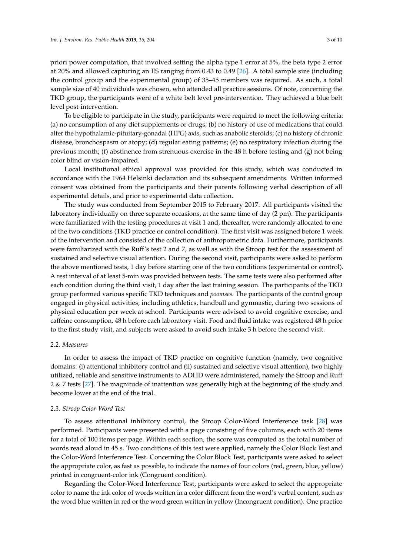priori power computation, that involved setting the alpha type 1 error at 5%, the beta type 2 error at 20% and allowed capturing an ES ranging from 0.43 to 0.49 [\[26\]](#page-9-5). A total sample size (including the control group and the experimental group) of 35–45 members was required. As such, a total sample size of 40 individuals was chosen, who attended all practice sessions. Of note, concerning the TKD group, the participants were of a white belt level pre-intervention. They achieved a blue belt level post-intervention.

To be eligible to participate in the study, participants were required to meet the following criteria: (a) no consumption of any diet supplements or drugs; (b) no history of use of medications that could alter the hypothalamic-pituitary-gonadal (HPG) axis, such as anabolic steroids; (c) no history of chronic disease, bronchospasm or atopy; (d) regular eating patterns; (e) no respiratory infection during the previous month; (f) abstinence from strenuous exercise in the 48 h before testing and (g) not being color blind or vision-impaired.

Local institutional ethical approval was provided for this study, which was conducted in accordance with the 1964 Helsinki declaration and its subsequent amendments. Written informed consent was obtained from the participants and their parents following verbal description of all experimental details, and prior to experimental data collection.

The study was conducted from September 2015 to February 2017. All participants visited the laboratory individually on three separate occasions, at the same time of day (2 pm). The participants were familiarized with the testing procedures at visit 1 and, thereafter, were randomly allocated to one of the two conditions (TKD practice or control condition). The first visit was assigned before 1 week of the intervention and consisted of the collection of anthropometric data. Furthermore, participants were familiarized with the Ruff's test 2 and 7, as well as with the Stroop test for the assessment of sustained and selective visual attention. During the second visit, participants were asked to perform the above mentioned tests, 1 day before starting one of the two conditions (experimental or control). A rest interval of at least 5-min was provided between tests. The same tests were also performed after each condition during the third visit, 1 day after the last training session. The participants of the TKD group performed various specific TKD techniques and *poomses*. The participants of the control group engaged in physical activities, including athletics, handball and gymnastic, during two sessions of physical education per week at school. Participants were advised to avoid cognitive exercise, and caffeine consumption, 48 h before each laboratory visit. Food and fluid intake was registered 48 h prior to the first study visit, and subjects were asked to avoid such intake 3 h before the second visit.

### *2.2. Measures*

In order to assess the impact of TKD practice on cognitive function (namely, two cognitive domains: (i) attentional inhibitory control and (ii) sustained and selective visual attention), two highly utilized, reliable and sensitive instruments to ADHD were administered, namely the Stroop and Ruff 2 & 7 tests [\[27\]](#page-9-6). The magnitude of inattention was generally high at the beginning of the study and become lower at the end of the trial.

#### *2.3. Stroop Color-Word Test*

To assess attentional inhibitory control, the Stroop Color-Word Interference task [\[28\]](#page-9-7) was performed. Participants were presented with a page consisting of five columns, each with 20 items for a total of 100 items per page. Within each section, the score was computed as the total number of words read aloud in 45 s. Two conditions of this test were applied, namely the Color Block Test and the Color-Word Interference Test. Concerning the Color Block Test, participants were asked to select the appropriate color, as fast as possible, to indicate the names of four colors (red, green, blue, yellow) printed in congruent-color ink (Congruent condition).

Regarding the Color-Word Interference Test, participants were asked to select the appropriate color to name the ink color of words written in a color different from the word's verbal content, such as the word blue written in red or the word green written in yellow (Incongruent condition). One practice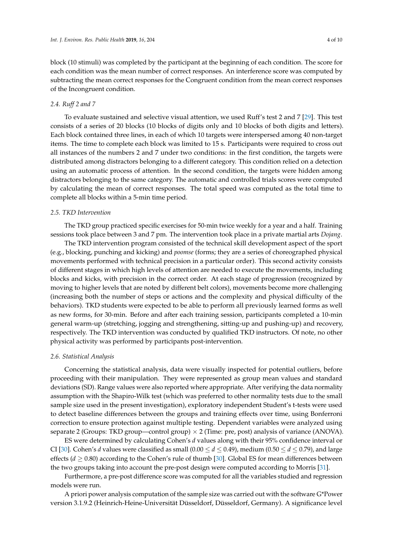block (10 stimuli) was completed by the participant at the beginning of each condition. The score for each condition was the mean number of correct responses. An interference score was computed by subtracting the mean correct responses for the Congruent condition from the mean correct responses of the Incongruent condition.

### *2.4. Ruff 2 and 7*

To evaluate sustained and selective visual attention, we used Ruff's test 2 and 7 [\[29\]](#page-9-8). This test consists of a series of 20 blocks (10 blocks of digits only and 10 blocks of both digits and letters). Each block contained three lines, in each of which 10 targets were interspersed among 40 non-target items. The time to complete each block was limited to 15 s. Participants were required to cross out all instances of the numbers 2 and 7 under two conditions: in the first condition, the targets were distributed among distractors belonging to a different category. This condition relied on a detection using an automatic process of attention. In the second condition, the targets were hidden among distractors belonging to the same category. The automatic and controlled trials scores were computed by calculating the mean of correct responses. The total speed was computed as the total time to complete all blocks within a 5-min time period.

## *2.5. TKD Intervention*

The TKD group practiced specific exercises for 50-min twice weekly for a year and a half. Training sessions took place between 3 and 7 pm. The intervention took place in a private martial arts *Dojang*.

The TKD intervention program consisted of the technical skill development aspect of the sport (e.g., blocking, punching and kicking) and *poomse* (forms; they are a series of choreographed physical movements performed with technical precision in a particular order). This second activity consists of different stages in which high levels of attention are needed to execute the movements, including blocks and kicks, with precision in the correct order. At each stage of progression (recognized by moving to higher levels that are noted by different belt colors), movements become more challenging (increasing both the number of steps or actions and the complexity and physical difficulty of the behaviors). TKD students were expected to be able to perform all previously learned forms as well as new forms, for 30-min. Before and after each training session, participants completed a 10-min general warm-up (stretching, jogging and strengthening, sitting-up and pushing-up) and recovery, respectively. The TKD intervention was conducted by qualified TKD instructors. Of note, no other physical activity was performed by participants post-intervention.

#### *2.6. Statistical Analysis*

Concerning the statistical analysis, data were visually inspected for potential outliers, before proceeding with their manipulation. They were represented as group mean values and standard deviations (SD). Range values were also reported where appropriate. After verifying the data normality assumption with the Shapiro-Wilk test (which was preferred to other normality tests due to the small sample size used in the present investigation), exploratory independent Student's t-tests were used to detect baseline differences between the groups and training effects over time, using Bonferroni correction to ensure protection against multiple testing. Dependent variables were analyzed using separate 2 (Groups: TKD group—control group)  $\times$  2 (Time: pre, post) analysis of variance (ANOVA).

ES were determined by calculating Cohen's *d* values along with their 95% confidence interval or CI [\[30\]](#page-9-9). Cohen's *d* values were classified as small (0.00  $\leq d \leq$  0.49), medium (0.50  $\leq d \leq$  0.79), and large effects ( $d \geq 0.80$ ) according to the Cohen's rule of thumb [\[30\]](#page-9-9). Global ES for mean differences between the two groups taking into account the pre-post design were computed according to Morris [\[31\]](#page-9-10).

Furthermore, a pre-post difference score was computed for all the variables studied and regression models were run.

A priori power analysis computation of the sample size was carried out with the software G\*Power version 3.1.9.2 (Heinrich-Heine-Universität Düsseldorf, Düsseldorf, Germany). A significance level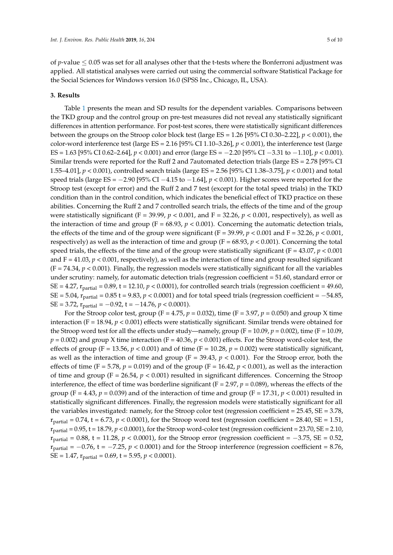of  $p$ -value  $\leq$  0.05 was set for all analyses other that the t-tests where the Bonferroni adjustment was applied. All statistical analyses were carried out using the commercial software Statistical Package for the Social Sciences for Windows version 16.0 (SPSS Inc., Chicago, IL, USA).

#### **3. Results**

Table [1](#page-6-0) presents the mean and SD results for the dependent variables. Comparisons between the TKD group and the control group on pre-test measures did not reveal any statistically significant differences in attention performance. For post-test scores, there were statistically significant differences between the groups on the Stroop color block test (large  $ES = 1.26$  [95% CI 0.30–2.22],  $p < 0.001$ ), the color-word interference test (large ES = 2.16 [95% CI 1.10–3.26], *p* < 0.001), the interference test (large ES = 1.63 [95% CI 0.62–2.64], *p* < 0.001) and error (large ES = −2.20 [95% CI −3.31 to −1.10], *p* < 0.001). Similar trends were reported for the Ruff 2 and 7automated detection trials (large ES = 2.78 [95% CI 1.55–4.01], *p* < 0.001), controlled search trials (large ES = 2.56 [95% CI 1.38–3.75], *p* < 0.001) and total speed trials (large ES = -2.90 [95% CI -4.15 to -1.64],  $p$  < 0.001). Higher scores were reported for the Stroop test (except for error) and the Ruff 2 and 7 test (except for the total speed trials) in the TKD condition than in the control condition, which indicates the beneficial effect of TKD practice on these abilities. Concerning the Ruff 2 and 7 controlled search trials, the effects of the time and of the group were statistically significant (F = 39.99,  $p < 0.001$ , and F = 32.26,  $p < 0.001$ , respectively), as well as the interaction of time and group ( $F = 68.93$ ,  $p < 0.001$ ). Concerning the automatic detection trials, the effects of the time and of the group were significant ( $F = 39.99$ ,  $p < 0.001$  and  $F = 32.26$ ,  $p < 0.001$ , respectively) as well as the interaction of time and group ( $F = 68.93$ ,  $p < 0.001$ ). Concerning the total speed trials, the effects of the time and of the group were statistically significant ( $F = 43.07$ ,  $p < 0.001$ ) and  $F = 41.03$ ,  $p < 0.001$ , respectively), as well as the interaction of time and group resulted significant  $(F = 74.34, p < 0.001)$ . Finally, the regression models were statistically significant for all the variables under scrutiny: namely, for automatic detection trials (regression coefficient = 51.60, standard error or SE =  $4.27$ ,  $r_{\text{partial}} = 0.89$ ,  $t = 12.10$ ,  $p < 0.0001$ ), for controlled search trials (regression coefficient = 49.60, SE = 5.04,  $r_{\text{partial}} = 0.85$  t = 9.83,  $p < 0.0001$ ) and for total speed trials (regression coefficient =  $-54.85$ ,  $SE = 3.72$ ,  $r_{partial} = -0.92$ ,  $t = -14.76$ ,  $p < 0.0001$ ).

For the Stroop color test, group (F = 4.75,  $p = 0.032$ ), time (F = 3.97,  $p = 0.050$ ) and group X time interaction (F = 18.94,  $p < 0.001$ ) effects were statistically significant. Similar trends were obtained for the Stroop word test for all the effects under study—namely, group ( $F = 10.09$ ,  $p = 0.002$ ), time ( $F = 10.09$ ,  $p = 0.002$ ) and group X time interaction (F = 40.36,  $p < 0.001$ ) effects. For the Stroop word-color test, the effects of group (F = 13.56,  $p < 0.001$ ) and of time (F = 10.28,  $p = 0.002$ ) were statistically significant, as well as the interaction of time and group ( $F = 39.43$ ,  $p < 0.001$ ). For the Stroop error, both the effects of time (F = 5.78,  $p = 0.019$ ) and of the group (F = 16.42,  $p < 0.001$ ), as well as the interaction of time and group ( $F = 26.54$ ,  $p < 0.001$ ) resulted in significant differences. Concerning the Stroop interference, the effect of time was borderline significant ( $F = 2.97$ ,  $p = 0.089$ ), whereas the effects of the group (F = 4.43,  $p = 0.039$ ) and of the interaction of time and group (F = 17.31,  $p < 0.001$ ) resulted in statistically significant differences. Finally, the regression models were statistically significant for all the variables investigated: namely, for the Stroop color test (regression coefficient = 25.45, SE = 3.78,  $r<sub>partial</sub> = 0.74$ ,  $t = 6.73$ ,  $p < 0.0001$ ), for the Stroop word test (regression coefficient = 28.40, SE = 1.51,  $r<sub>partial</sub> = 0.95$ ,  $t = 18.79$ ,  $p < 0.0001$ ), for the Stroop word-color test (regression coefficient = 23.70, SE = 2.10,  $r_{\text{partial}} = 0.88$ , t = 11.28,  $p < 0.0001$ ), for the Stroop error (regression coefficient =  $-3.75$ , SE = 0.52,  $r_{\text{partial}} = -0.76$ , t =  $-7.25$ ,  $p < 0.0001$ ) and for the Stroop interference (regression coefficient = 8.76,  $SE = 1.47$ ,  $r_{\text{partial}} = 0.69$ ,  $t = 5.95$ ,  $p < 0.0001$ ).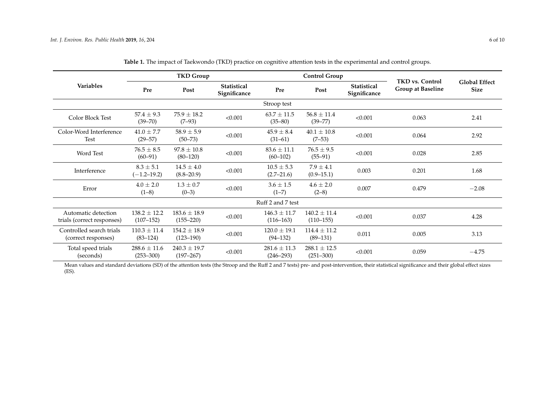|                                                   |                                   | <b>TKD Group</b>                  |                             |                                   | <b>Control Group</b>              |                             |                                             |                                     |
|---------------------------------------------------|-----------------------------------|-----------------------------------|-----------------------------|-----------------------------------|-----------------------------------|-----------------------------|---------------------------------------------|-------------------------------------|
| <b>Variables</b>                                  | Pre                               | Post                              | Statistical<br>Significance | Pre                               | Post                              | Statistical<br>Significance | TKD vs. Control<br><b>Group at Baseline</b> | <b>Global Effect</b><br><b>Size</b> |
|                                                   |                                   |                                   |                             | Stroop test                       |                                   |                             |                                             |                                     |
| Color Block Test                                  | $57.4 \pm 9.3$<br>$(39 - 70)$     | $75.9 \pm 18.2$<br>$(7-93)$       | < 0.001                     | $63.7 \pm 11.5$<br>$(35 - 80)$    | $56.8 \pm 11.4$<br>$(39 - 77)$    | < 0.001                     | 0.063                                       | 2.41                                |
| Color-Word Interference<br><b>Test</b>            | $41.0 \pm 7.7$<br>$(29 - 57)$     | $58.9 \pm 5.9$<br>$(50 - 73)$     | < 0.001                     | $45.9 \pm 8.4$<br>$(31-61)$       | $40.1 \pm 10.8$<br>$(7-53)$       | < 0.001                     | 0.064                                       | 2.92                                |
| Word Test                                         | $76.5 \pm 8.5$<br>$(60-91)$       | $97.8 \pm 10.8$<br>$(80 - 120)$   | < 0.001                     | $83.6 \pm 11.1$<br>$(60-102)$     | $76.5 \pm 9.5$<br>$(55-91)$       | < 0.001                     | 0.028                                       | 2.85                                |
| Interference                                      | $8.3 \pm 5.1$<br>$(-1.2 - 19.2)$  | $14.5 \pm 4.0$<br>$(8.8 - 20.9)$  | < 0.001                     | $10.5 \pm 5.3$<br>$(2.7 - 21.6)$  | $7.9 \pm 4.1$<br>$(0.9 - 15.1)$   | 0.003                       | 0.201                                       | 1.68                                |
| Error                                             | $4.0 \pm 2.0$<br>$(1-8)$          | $1.3 \pm 0.7$<br>$(0-3)$          | < 0.001                     | $3.6 \pm 1.5$<br>$(1-7)$          | $4.6 \pm 2.0$<br>$(2-8)$          | $0.007\,$                   | 0.479                                       | $-2.08$                             |
|                                                   |                                   |                                   |                             | Ruff 2 and 7 test                 |                                   |                             |                                             |                                     |
| Automatic detection<br>trials (correct responses) | $138.2 \pm 12.2$<br>$(107 - 152)$ | $183.6 \pm 18.9$<br>$(155 - 220)$ | < 0.001                     | $146.3 \pm 11.7$<br>$(116 - 163)$ | $140.2 \pm 11.4$<br>$(110-155)$   | < 0.001                     | 0.037                                       | 4.28                                |
| Controlled search trials<br>(correct responses)   | $110.3 \pm 11.4$<br>$(83 - 124)$  | $154.2 \pm 18.9$<br>$(123 - 190)$ | < 0.001                     | $120.0 \pm 19.1$<br>$(94 - 132)$  | $114.4 \pm 11.2$<br>$(89 - 131)$  | 0.011                       | 0.005                                       | 3.13                                |
| Total speed trials<br>(seconds)                   | $288.6 \pm 11.6$<br>$(253 - 300)$ | $240.3 \pm 19.7$<br>$(197 - 267)$ | < 0.001                     | $281.6 \pm 11.3$<br>$(246 - 293)$ | $288.1 \pm 12.5$<br>$(251 - 300)$ | < 0.001                     | 0.059                                       | $-4.75$                             |

| Table 1. The impact of Taekwondo (TKD) practice on cognitive attention tests in the experimental and control groups. |  |
|----------------------------------------------------------------------------------------------------------------------|--|
|                                                                                                                      |  |

<span id="page-6-0"></span>Mean values and standard deviations (SD) of the attention tests (the Stroop and the Ruff 2 and 7 tests) pre- and post-intervention, their statistical significance and their global effect sizes (ES).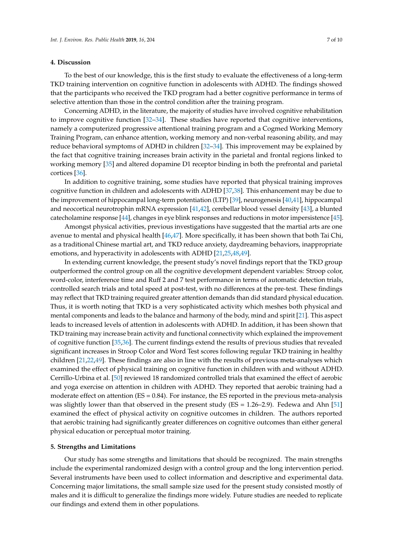#### **4. Discussion**

To the best of our knowledge, this is the first study to evaluate the effectiveness of a long-term TKD training intervention on cognitive function in adolescents with ADHD. The findings showed that the participants who received the TKD program had a better cognitive performance in terms of selective attention than those in the control condition after the training program.

Concerning ADHD, in the literature, the majority of studies have involved cognitive rehabilitation to improve cognitive function [\[32–](#page-9-11)[34\]](#page-9-12). These studies have reported that cognitive interventions, namely a computerized progressive attentional training program and a Cogmed Working Memory Training Program, can enhance attention, working memory and non-verbal reasoning ability, and may reduce behavioral symptoms of ADHD in children [\[32–](#page-9-11)[34\]](#page-9-12). This improvement may be explained by the fact that cognitive training increases brain activity in the parietal and frontal regions linked to working memory [\[35\]](#page-9-13) and altered dopamine D1 receptor binding in both the prefrontal and parietal cortices [\[36\]](#page-9-14).

In addition to cognitive training, some studies have reported that physical training improves cognitive function in children and adolescents with ADHD [\[37](#page-9-15)[,38\]](#page-10-0). This enhancement may be due to the improvement of hippocampal long-term potentiation (LTP) [\[39\]](#page-10-1), neurogenesis [\[40](#page-10-2)[,41\]](#page-10-3), hippocampal and neocortical neurotrophin mRNA expression [\[41](#page-10-3)[,42\]](#page-10-4), cerebellar blood vessel density [\[43\]](#page-10-5), a blunted catecholamine response [\[44\]](#page-10-6), changes in eye blink responses and reductions in motor impersistence [\[45\]](#page-10-7).

Amongst physical activities, previous investigations have suggested that the martial arts are one avenue to mental and physical health [\[46,](#page-10-8)[47\]](#page-10-9). More specifically, it has been shown that both Tai Chi, as a traditional Chinese martial art, and TKD reduce anxiety, daydreaming behaviors, inappropriate emotions, and hyperactivity in adolescents with ADHD [\[21](#page-9-1)[,25](#page-9-4)[,48](#page-10-10)[,49\]](#page-10-11).

In extending current knowledge, the present study's novel findings report that the TKD group outperformed the control group on all the cognitive development dependent variables: Stroop color, word-color, interference time and Ruff 2 and 7 test performance in terms of automatic detection trials, controlled search trials and total speed at post-test, with no differences at the pre-test. These findings may reflect that TKD training required greater attention demands than did standard physical education. Thus, it is worth noting that TKD is a very sophisticated activity which meshes both physical and mental components and leads to the balance and harmony of the body, mind and spirit [\[21\]](#page-9-1). This aspect leads to increased levels of attention in adolescents with ADHD. In addition, it has been shown that TKD training may increase brain activity and functional connectivity which explained the improvement of cognitive function [\[35](#page-9-13)[,36\]](#page-9-14). The current findings extend the results of previous studies that revealed significant increases in Stroop Color and Word Test scores following regular TKD training in healthy children [\[21,](#page-9-1)[22,](#page-9-3)[49\]](#page-10-11). These findings are also in line with the results of previous meta-analyses which examined the effect of physical training on cognitive function in children with and without ADHD. Cerrillo-Urbina et al. [\[50\]](#page-10-12) reviewed 18 randomized controlled trials that examined the effect of aerobic and yoga exercise on attention in children with ADHD. They reported that aerobic training had a moderate effect on attention  $(ES = 0.84)$ . For instance, the ES reported in the previous meta-analysis was slightly lower than that observed in the present study ( $ES = 1.26-2.9$ ). Fedewa and Ahn [\[51\]](#page-10-13) examined the effect of physical activity on cognitive outcomes in children. The authors reported that aerobic training had significantly greater differences on cognitive outcomes than either general physical education or perceptual motor training.

#### **5. Strengths and Limitations**

Our study has some strengths and limitations that should be recognized. The main strengths include the experimental randomized design with a control group and the long intervention period. Several instruments have been used to collect information and descriptive and experimental data. Concerning major limitations, the small sample size used for the present study consisted mostly of males and it is difficult to generalize the findings more widely. Future studies are needed to replicate our findings and extend them in other populations.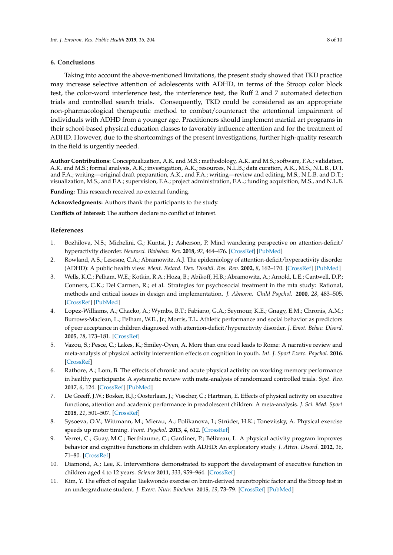#### **6. Conclusions**

Taking into account the above-mentioned limitations, the present study showed that TKD practice may increase selective attention of adolescents with ADHD, in terms of the Stroop color block test, the color-word interference test, the interference test, the Ruff 2 and 7 automated detection trials and controlled search trials. Consequently, TKD could be considered as an appropriate non-pharmacological therapeutic method to combat/counteract the attentional impairment of individuals with ADHD from a younger age. Practitioners should implement martial art programs in their school-based physical education classes to favorably influence attention and for the treatment of ADHD. However, due to the shortcomings of the present investigations, further high-quality research in the field is urgently needed.

**Author Contributions:** Conceptualization, A.K. and M.S.; methodology, A.K. and M.S.; software, F.A.; validation, A.K. and M.S.; formal analysis, A.K.; investigation, A.K.; resources, N.L.B.; data curation, A.K., M.S., N.L.B., D.T. and F.A.; writing—original draft preparation, A.K., and F.A.; writing—review and editing, M.S., N.L.B. and D.T.; visualization, M.S., and F.A.; supervision, F.A.; project administration, F.A..; funding acquisition, M.S., and N.L.B.

**Funding:** This research received no external funding.

**Acknowledgments:** Authors thank the participants to the study.

**Conflicts of Interest:** The authors declare no conflict of interest.

## **References**

- <span id="page-8-0"></span>1. Bozhilova, N.S.; Michelini, G.; Kuntsi, J.; Asherson, P. Mind wandering perspective on attention-deficit/ hyperactivity disorder. *Neurosci. Biobehav. Rev.* **2018**, *92*, 464–476. [\[CrossRef\]](http://dx.doi.org/10.1016/j.neubiorev.2018.07.010) [\[PubMed\]](http://www.ncbi.nlm.nih.gov/pubmed/30036553)
- <span id="page-8-1"></span>2. Rowland, A.S.; Lesesne, C.A.; Abramowitz, A.J. The epidemiology of attention-deficit/hyperactivity disorder (ADHD): A public health view. *Ment. Retard. Dev. Disabil. Res. Rev.* **2002**, *8*, 162–170. [\[CrossRef\]](http://dx.doi.org/10.1002/mrdd.10036) [\[PubMed\]](http://www.ncbi.nlm.nih.gov/pubmed/12216060)
- <span id="page-8-2"></span>3. Wells, K.C.; Pelham, W.E.; Kotkin, R.A.; Hoza, B.; Abikoff, H.B.; Abramowitz, A.; Arnold, L.E.; Cantwell, D.P.; Conners, C.K.; Del Carmen, R.; et al. Strategies for psychosocial treatment in the mta study: Rational, methods and critical issues in design and implementation. *J. Abnorm. Child Psychol.* **2000**, *28*, 483–505. [\[CrossRef\]](http://dx.doi.org/10.1023/A:1005174913412) [\[PubMed\]](http://www.ncbi.nlm.nih.gov/pubmed/11104313)
- <span id="page-8-3"></span>4. Lopez-Williams, A.; Chacko, A.; Wymbs, B.T.; Fabiano, G.A.; Seymour, K.E.; Gnagy, E.M.; Chronis, A.M.; Burrows-Maclean, L.; Pelham, W.E., Jr.; Morris, T.L. Athletic performance and social behavior as predictors of peer acceptance in children diagnosed with attention-deficit/hyperactivity disorder. *J. Emot. Behav. Disord.* **2005**, *18*, 173–181. [\[CrossRef\]](http://dx.doi.org/10.1177/10634266050130030501)
- <span id="page-8-4"></span>5. Vazou, S.; Pesce, C.; Lakes, K.; Smiley-Oyen, A. More than one road leads to Rome: A narrative review and meta-analysis of physical activity intervention effects on cognition in youth. *Int. J. Sport Exerc. Psychol.* **2016**. [\[CrossRef\]](http://dx.doi.org/10.1080/1612197X.2016.1223423)
- 6. Rathore, A.; Lom, B. The effects of chronic and acute physical activity on working memory performance in healthy participants: A systematic review with meta-analysis of randomized controlled trials. *Syst. Rev.* **2017**, *6*, 124. [\[CrossRef\]](http://dx.doi.org/10.1186/s13643-017-0514-7) [\[PubMed\]](http://www.ncbi.nlm.nih.gov/pubmed/28666470)
- 7. De Greeff, J.W.; Bosker, R.J.; Oosterlaan, J.; Visscher, C.; Hartman, E. Effects of physical activity on executive functions, attention and academic performance in preadolescent children: A meta-analysis. *J. Sci. Med. Sport* **2018**, *21*, 501–507. [\[CrossRef\]](http://dx.doi.org/10.1016/j.jsams.2017.09.595)
- <span id="page-8-5"></span>8. Sysoeva, O.V.; Wittmann, M.; Mierau, A.; Polikanova, I.; Strüder, H.K.; Tonevitsky, A. Physical exercise speeds up motor timing. *Front. Psychol.* **2013**, *4*, 612. [\[CrossRef\]](http://dx.doi.org/10.3389/fpsyg.2013.00612)
- <span id="page-8-6"></span>9. Verret, C.; Guay, M.C.; Berthiaume, C.; Gardiner, P.; Béliveau, L. A physical activity program improves behavior and cognitive functions in children with ADHD: An exploratory study. *J. Atten. Disord.* **2012**, *16*, 71–80. [\[CrossRef\]](http://dx.doi.org/10.1177/1087054710379735)
- <span id="page-8-7"></span>10. Diamond, A.; Lee, K. Interventions demonstrated to support the development of executive function in children aged 4 to 12 years. *Science* **2011**, *333*, 959–964. [\[CrossRef\]](http://dx.doi.org/10.1126/science.1204529)
- <span id="page-8-8"></span>11. Kim, Y. The effect of regular Taekwondo exercise on brain-derived neurotrophic factor and the Stroop test in an undergraduate student. *J. Exerc. Nutr. Biochem.* **2015**, *19*, 73–79. [\[CrossRef\]](http://dx.doi.org/10.5717/jenb.2015.15060904) [\[PubMed\]](http://www.ncbi.nlm.nih.gov/pubmed/26244125)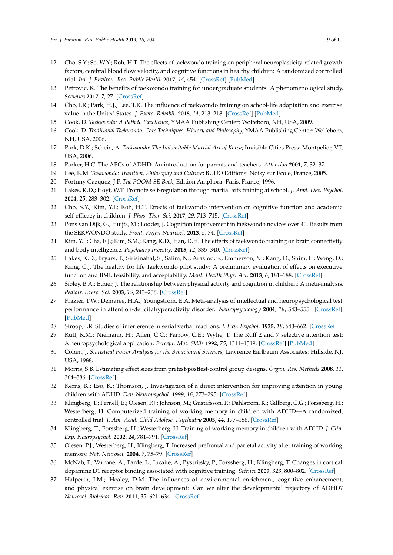- 12. Cho, S.Y.; So, W.Y.; Roh, H.T. The effects of taekwondo training on peripheral neuroplasticity-related growth factors, cerebral blood flow velocity, and cognitive functions in healthy children: A randomized controlled trial. *Int. J. Environ. Res. Public Health* **2017**, *14*, 454. [\[CrossRef\]](http://dx.doi.org/10.3390/ijerph14050454) [\[PubMed\]](http://www.ncbi.nlm.nih.gov/pubmed/28441325)
- 13. Petrovic, K. The benefits of taekwondo training for undergraduate students: A phenomenological study. *Societies* **2017**, *7*, 27. [\[CrossRef\]](http://dx.doi.org/10.3390/soc7030027)
- 14. Cho, I.R.; Park, H.J.; Lee, T.K. The influence of taekwondo training on school-life adaptation and exercise value in the United States. *J. Exerc. Rehabil.* **2018**, *14*, 213–218. [\[CrossRef\]](http://dx.doi.org/10.12965/jer.1836006.003) [\[PubMed\]](http://www.ncbi.nlm.nih.gov/pubmed/29740554)
- 15. Cook, D. *Taekwondo: A Path to Excellence*; YMAA Publishing Center: Wolfeboro, NH, USA, 2009.
- 16. Cook, D. *Traditional Taekwondo: Core Techniques, History and Philosophy*; YMAA Publishing Center: Wolfeboro, NH, USA, 2006.
- 17. Park, D.K.; Schein, A. *Taekwondo: The Indomitable Martial Art of Korea*; Invisible Cities Press: Montpelier, VT, USA, 2006.
- 18. Parker, H.C. The ABCs of ADHD: An introduction for parents and teachers. *Attention* **2001**, *7*, 32–37.
- 19. Lee, K.M. *Taekwondo: Tradition, Philosophy and Culture*; BUDO Editions: Noisy sur Ecole, France, 2005.
- <span id="page-9-0"></span>20. Fortuny Gazquez, J.P. *The POOM-SE Book*; Edition Amphora: Paris, France, 1996.
- <span id="page-9-1"></span>21. Lakes, K.D.; Hoyt, W.T. Promote self-regulation through martial arts training at school. *J. Appl. Dev. Psychol.* **2004**, *25*, 283–302. [\[CrossRef\]](http://dx.doi.org/10.1016/j.appdev.2004.04.002)
- <span id="page-9-3"></span>22. Cho, S.Y.; Kim, Y.I.; Roh, H.T. Effects of taekwondo intervention on cognitive function and academic self-efficacy in children. *J. Phys. Ther. Sci.* **2017**, *29*, 713–715. [\[CrossRef\]](http://dx.doi.org/10.1589/jpts.29.713)
- 23. Pons van Dijk, G.; Huijts, M.; Lodder, J. Cognition improvement in taekwondo novices over 40. Results from the SEKWONDO study. *Front. Aging Neurosci.* **2013**, *5*, 74. [\[CrossRef\]](http://dx.doi.org/10.3389/fnagi.2013.00074)
- <span id="page-9-2"></span>24. Kim, Y.J.; Cha, E.J.; Kim, S.M.; Kang, K.D.; Han, D.H. The effects of taekwondo training on brain connectivity and body intelligence. *Psychiatry Investig.* **2015**, *12*, 335–340. [\[CrossRef\]](http://dx.doi.org/10.4306/pi.2015.12.3.335)
- <span id="page-9-4"></span>25. Lakes, K.D.; Bryars, T.; Sirisinahal, S.; Salim, N.; Arastoo, S.; Emmerson, N.; Kang, D.; Shim, L.; Wong, D.; Kang, C.J. The healthy for life Taekwondo pilot study: A preliminary evaluation of effects on executive function and BMI, feasibility, and acceptability. *Ment. Health Phys. Act.* **2013**, *6*, 181–188. [\[CrossRef\]](http://dx.doi.org/10.1016/j.mhpa.2013.07.002)
- <span id="page-9-5"></span>26. Sibley, B.A.; Etnier, J. The relationship between physical activity and cognition in children: A meta-analysis. *Pediatr. Exerc. Sci.* **2003**, *15*, 243–256. [\[CrossRef\]](http://dx.doi.org/10.1123/pes.15.3.243)
- <span id="page-9-6"></span>27. Frazier, T.W.; Demaree, H.A.; Youngstrom, E.A. Meta-analysis of intellectual and neuropsychological test performance in attention-deficit/hyperactivity disorder. *Neuropsychology* **2004**, *18*, 543–555. [\[CrossRef\]](http://dx.doi.org/10.1037/0894-4105.18.3.543) [\[PubMed\]](http://www.ncbi.nlm.nih.gov/pubmed/15291732)
- <span id="page-9-7"></span>28. Stroop, J.R. Studies of interference in serial verbal reactions. *J. Exp. Psychol.* **1935**, *18*, 643–662. [\[CrossRef\]](http://dx.doi.org/10.1037/h0054651)
- <span id="page-9-8"></span>29. Ruff, R.M.; Niemann, H.; Allen, C.C.; Farrow, C.E.; Wylie, T. The Ruff 2 and 7 selective attention test: A neuropsychological application. *Percept. Mot. Skills* **1992**, *75*, 1311–1319. [\[CrossRef\]](http://dx.doi.org/10.2466/pms.1992.75.3f.1311) [\[PubMed\]](http://www.ncbi.nlm.nih.gov/pubmed/1484803)
- <span id="page-9-9"></span>30. Cohen, J. *Statistical Power Analysis for the Behavioural Sciences*; Lawrence Earlbaum Associates: Hillside, NJ, USA, 1988.
- <span id="page-9-10"></span>31. Morris, S.B. Estimating effect sizes from pretest-posttest-control group designs. *Organ. Res. Methods* **2008**, *11*, 364–386. [\[CrossRef\]](http://dx.doi.org/10.1177/1094428106291059)
- <span id="page-9-11"></span>32. Kerns, K.; Eso, K.; Thomson, J. Investigation of a direct intervention for improving attention in young children with ADHD. *Dev. Neuropsychol.* **1999**, *16*, 273–295. [\[CrossRef\]](http://dx.doi.org/10.1207/S15326942DN1602_9)
- 33. Klingberg, T.; Fernell, E.; Olesen, P.J.; Johnson, M.; Gustafsson, P.; Dahlstrom, K.; Gillberg, C.G.; Forssberg, H.; Westerberg, H. Computerized training of working memory in children with ADHD—A randomized, controlled trial. *J. Am. Acad. Child Adolesc. Psychiatry* **2005**, *44*, 177–186. [\[CrossRef\]](http://dx.doi.org/10.1097/00004583-200502000-00010)
- <span id="page-9-12"></span>34. Klingberg, T.; Forssberg, H.; Westerberg, H. Training of working memory in children with ADHD. *J. Clin. Exp. Neuropsychol.* **2002**, *24*, 781–791. [\[CrossRef\]](http://dx.doi.org/10.1076/jcen.24.6.781.8395)
- <span id="page-9-13"></span>35. Olesen, P.J.; Westerberg, H.; Klingberg, T. Increased prefrontal and parietal activity after training of working memory. *Nat. Neurosci.* **2004**, *7*, 75–79. [\[CrossRef\]](http://dx.doi.org/10.1038/nn1165)
- <span id="page-9-14"></span>36. McNab, F.; Varrone, A.; Farde, L.; Jucaite, A.; Bystritsky, P.; Forssberg, H.; Klingberg, T. Changes in cortical dopamine D1 receptor binding associated with cognitive training. *Science* **2009**, *323*, 800–802. [\[CrossRef\]](http://dx.doi.org/10.1126/science.1166102)
- <span id="page-9-15"></span>37. Halperin, J.M.; Healey, D.M. The influences of environmental enrichment, cognitive enhancement, and physical exercise on brain development: Can we alter the developmental trajectory of ADHD? *Neurosci. Biobehav. Rev.* **2011**, *35*, 621–634. [\[CrossRef\]](http://dx.doi.org/10.1016/j.neubiorev.2010.07.006)